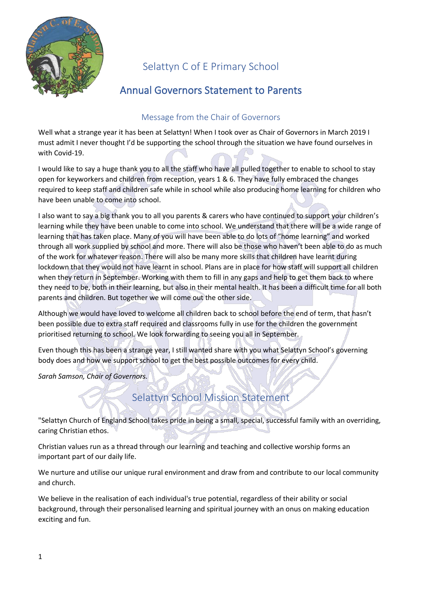

# Selattyn C of E Primary School

# Annual Governors Statement to Parents

### Message from the Chair of Governors

Well what a strange year it has been at Selattyn! When I took over as Chair of Governors in March 2019 I must admit I never thought I'd be supporting the school through the situation we have found ourselves in with Covid-19.

I would like to say a huge thank you to all the staff who have all pulled together to enable to school to stay open for keyworkers and children from reception, years 1 & 6. They have fully embraced the changes required to keep staff and children safe while in school while also producing home learning for children who have been unable to come into school.

I also want to say a big thank you to all you parents & carers who have continued to support your children's learning while they have been unable to come into school. We understand that there will be a wide range of learning that has taken place. Many of you will have been able to do lots of "home learning" and worked through all work supplied by school and more. There will also be those who haven't been able to do as much of the work for whatever reason. There will also be many more skills that children have learnt during lockdown that they would not have learnt in school. Plans are in place for how staff will support all children when they return in September. Working with them to fill in any gaps and help to get them back to where they need to be, both in their learning, but also in their mental health. It has been a difficult time for all both parents and children. But together we will come out the other side.

Although we would have loved to welcome all children back to school before the end of term, that hasn't been possible due to extra staff required and classrooms fully in use for the children the government prioritised returning to school. We look forwarding to seeing you all in September.

Even though this has been a strange year, I still wanted share with you what Selattyn School's governing body does and how we support school to get the best possible outcomes for every child.

*Sarah Samson, Chair of Governors.*

# Selattyn School Mission Statement

"Selattyn Church of England School takes pride in being a small, special, successful family with an overriding, caring Christian ethos.

Christian values run as a thread through our learning and teaching and collective worship forms an important part of our daily life.

We nurture and utilise our unique rural environment and draw from and contribute to our local community and church.

We believe in the realisation of each individual's true potential, regardless of their ability or social background, through their personalised learning and spiritual journey with an onus on making education exciting and fun.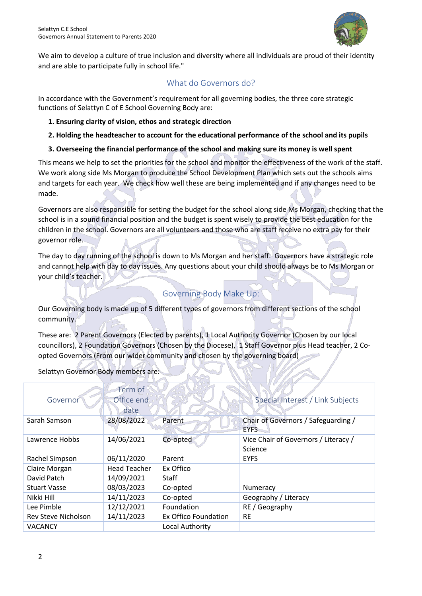

We aim to develop a culture of true inclusion and diversity where all individuals are proud of their identity and are able to participate fully in school life."

### What do Governors do?

In accordance with the Government's requirement for all governing bodies, the three core strategic functions of Selattyn C of E School Governing Body are:

- **1. Ensuring clarity of vision, ethos and strategic direction**
- **2. Holding the headteacher to account for the educational performance of the school and its pupils**
- **3. Overseeing the financial performance of the school and making sure its money is well spent**

This means we help to set the priorities for the school and monitor the effectiveness of the work of the staff. We work along side Ms Morgan to produce the School Development Plan which sets out the schools aims and targets for each year. We check how well these are being implemented and if any changes need to be made.

Governors are also responsible for setting the budget for the school along side Ms Morgan, checking that the school is in a sound financial position and the budget is spent wisely to provide the best education for the children in the school. Governors are all volunteers and those who are staff receive no extra pay for their governor role.

The day to day running of the school is down to Ms Morgan and her staff. Governors have a strategic role and cannot help with day to day issues. Any questions about your child should always be to Ms Morgan or your child's teacher.

# Governing Body Make Up:

Our Governing body is made up of 5 different types of governors from different sections of the school community.

These are: 2 Parent Governors (Elected by parents), 1 Local Authority Governor (Chosen by our local councillors), 2 Foundation Governors (Chosen by the Diocese), 1 Staff Governor plus Head teacher, 2 Coopted Governors (From our wider community and chosen by the governing board)

| Governor            | Term of<br>Office end<br>date |                      | Special Interest / Link Subjects                   |
|---------------------|-------------------------------|----------------------|----------------------------------------------------|
| Sarah Samson        | 28/08/2022                    | Parent               | Chair of Governors / Safeguarding /<br><b>EYFS</b> |
| Lawrence Hobbs      | 14/06/2021                    | Co-opted             | Vice Chair of Governors / Literacy /<br>Science    |
| Rachel Simpson      | 06/11/2020                    | Parent               | <b>EYFS</b>                                        |
| Claire Morgan       | <b>Head Teacher</b>           | Ex Offico            |                                                    |
| David Patch         | 14/09/2021                    | Staff                |                                                    |
| <b>Stuart Vasse</b> | 08/03/2023                    | Co-opted             | Numeracy                                           |
| Nikki Hill          | 14/11/2023                    | Co-opted             | Geography / Literacy                               |
| Lee Pimble          | 12/12/2021                    | Foundation           | RE / Geography                                     |
| Rev Steve Nicholson | 14/11/2023                    | Ex Offico Foundation | <b>RE</b>                                          |
| VACANCY             |                               | Local Authority      |                                                    |

Selattyn Governor Body members are: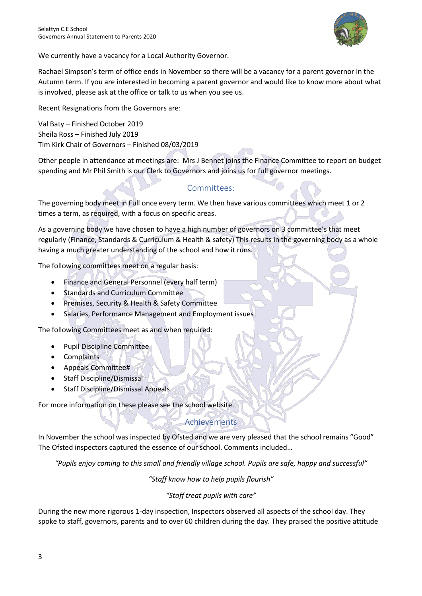

We currently have a vacancy for a Local Authority Governor.

Rachael Simpson's term of office ends in November so there will be a vacancy for a parent governor in the Autumn term. If you are interested in becoming a parent governor and would like to know more about what is involved, please ask at the office or talk to us when you see us.

Recent Resignations from the Governors are:

Val Baty – Finished October 2019 Sheila Ross – Finished July 2019 Tim Kirk Chair of Governors – Finished 08/03/2019

Other people in attendance at meetings are: Mrs J Bennet joins the Finance Committee to report on budget spending and Mr Phil Smith is our Clerk to Governors and joins us for full governor meetings.

#### Committees:

The governing body meet in Full once every term. We then have various committees which meet 1 or 2 times a term, as required, with a focus on specific areas.

As a governing body we have chosen to have a high number of governors on 3 committee's that meet regularly (Finance, Standards & Curriculum & Health & safety) This results in the governing body as a whole having a much greater understanding of the school and how it runs.

The following committees meet on a regular basis:

- Finance and General Personnel (every half term)
- Standards and Curriculum Committee
- Premises, Security & Health & Safety Committee
- Salaries, Performance Management and Employment issues

The following Committees meet as and when required:

- Pupil Discipline Committee
- Complaints
- Appeals Committee#
- Staff Discipline/Dismissal
- Staff Discipline/Dismissal Appeals

For more information on these please see the school website.

### Achievements

In November the school was inspected by Ofsted and we are very pleased that the school remains "Good" The Ofsted inspectors captured the essence of our school. Comments included…

*"Pupils enjoy coming to this small and friendly village school. Pupils are safe, happy and successful"*

*"Staff know how to help pupils flourish"*

*"Staff treat pupils with care"*

During the new more rigorous 1-day inspection, Inspectors observed all aspects of the school day. They spoke to staff, governors, parents and to over 60 children during the day. They praised the positive attitude